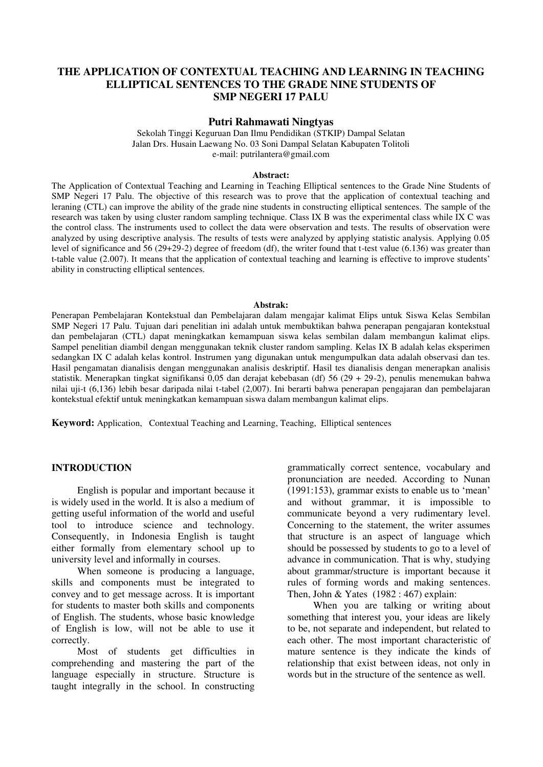# **THE APPLICATION OF CONTEXTUAL TEACHING AND LEARNING IN TEACHING ELLIPTICAL SENTENCES TO THE GRADE NINE STUDENTS OF SMP NEGERI 17 PALU**

### **Putri Rahmawati Ningtyas**

Sekolah Tinggi Keguruan Dan Ilmu Pendidikan (STKIP) Dampal Selatan Jalan Drs. Husain Laewang No. 03 Soni Dampal Selatan Kabupaten Tolitoli e-mail: putrilantera@gmail.com

#### **Abstract:**

The Application of Contextual Teaching and Learning in Teaching Elliptical sentences to the Grade Nine Students of SMP Negeri 17 Palu. The objective of this research was to prove that the application of contextual teaching and leraning (CTL) can improve the ability of the grade nine students in constructing elliptical sentences. The sample of the research was taken by using cluster random sampling technique. Class IX B was the experimental class while IX C was the control class. The instruments used to collect the data were observation and tests. The results of observation were analyzed by using descriptive analysis. The results of tests were analyzed by applying statistic analysis. Applying 0.05 level of significance and 56 (29+29-2) degree of freedom (df), the writer found that t-test value (6.136) was greater than t-table value (2.007). It means that the application of contextual teaching and learning is effective to improve students' ability in constructing elliptical sentences.

#### **Abstrak:**

Penerapan Pembelajaran Kontekstual dan Pembelajaran dalam mengajar kalimat Elips untuk Siswa Kelas Sembilan SMP Negeri 17 Palu. Tujuan dari penelitian ini adalah untuk membuktikan bahwa penerapan pengajaran kontekstual dan pembelajaran (CTL) dapat meningkatkan kemampuan siswa kelas sembilan dalam membangun kalimat elips. Sampel penelitian diambil dengan menggunakan teknik cluster random sampling. Kelas IX B adalah kelas eksperimen sedangkan IX C adalah kelas kontrol. Instrumen yang digunakan untuk mengumpulkan data adalah observasi dan tes. Hasil pengamatan dianalisis dengan menggunakan analisis deskriptif. Hasil tes dianalisis dengan menerapkan analisis statistik. Menerapkan tingkat signifikansi 0,05 dan derajat kebebasan (df) 56 (29 + 29-2), penulis menemukan bahwa nilai uji-t (6,136) lebih besar daripada nilai t-tabel (2,007). Ini berarti bahwa penerapan pengajaran dan pembelajaran kontekstual efektif untuk meningkatkan kemampuan siswa dalam membangun kalimat elips.

**Keyword:** Application, Contextual Teaching and Learning, Teaching, Elliptical sentences

### **INTRODUCTION**

English is popular and important because it is widely used in the world. It is also a medium of getting useful information of the world and useful tool to introduce science and technology. Consequently, in Indonesia English is taught either formally from elementary school up to university level and informally in courses.

When someone is producing a language, skills and components must be integrated to convey and to get message across. It is important for students to master both skills and components of English. The students, whose basic knowledge of English is low, will not be able to use it correctly.

Most of students get difficulties in comprehending and mastering the part of the language especially in structure. Structure is taught integrally in the school. In constructing grammatically correct sentence, vocabulary and pronunciation are needed. According to Nunan  $(1991:153)$ , grammar exists to enable us to 'mean' and without grammar, it is impossible to communicate beyond a very rudimentary level. Concerning to the statement, the writer assumes that structure is an aspect of language which should be possessed by students to go to a level of advance in communication. That is why, studying about grammar/structure is important because it rules of forming words and making sentences. Then, John & Yates (1982 : 467) explain:

When you are talking or writing about something that interest you, your ideas are likely to be, not separate and independent, but related to each other. The most important characteristic of mature sentence is they indicate the kinds of relationship that exist between ideas, not only in words but in the structure of the sentence as well.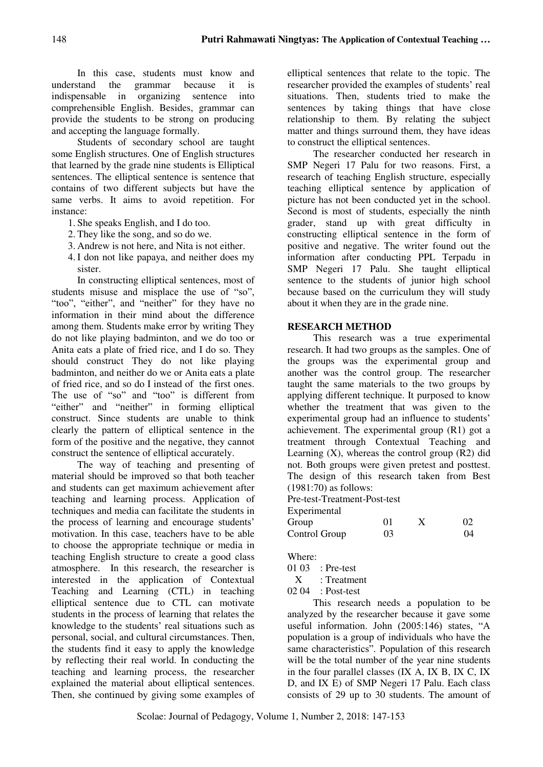In this case, students must know and understand the grammar because it is indispensable in organizing sentence into comprehensible English. Besides, grammar can provide the students to be strong on producing and accepting the language formally.

Students of secondary school are taught some English structures. One of English structures that learned by the grade nine students is Elliptical sentences. The elliptical sentence is sentence that contains of two different subjects but have the same verbs. It aims to avoid repetition. For instance:

- 1. She speaks English, and I do too.
- 2. They like the song, and so do we.
- 3. Andrew is not here, and Nita is not either.
- 4. I don not like papaya, and neither does my sister.

In constructing elliptical sentences, most of students misuse and misplace the use of "so", "too", "either", and "neither" for they have no information in their mind about the difference among them. Students make error by writing They do not like playing badminton, and we do too or Anita eats a plate of fried rice, and I do so. They should construct They do not like playing badminton, and neither do we or Anita eats a plate of fried rice, and so do I instead of the first ones. The use of "so" and "too" is different from "either" and "neither" in forming elliptical construct. Since students are unable to think clearly the pattern of elliptical sentence in the form of the positive and the negative, they cannot construct the sentence of elliptical accurately.

The way of teaching and presenting of material should be improved so that both teacher and students can get maximum achievement after teaching and learning process. Application of techniques and media can facilitate the students in the process of learning and encourage students' motivation. In this case, teachers have to be able to choose the appropriate technique or media in teaching English structure to create a good class atmosphere. In this research, the researcher is interested in the application of Contextual Teaching and Learning (CTL) in teaching elliptical sentence due to CTL can motivate students in the process of learning that relates the knowledge to the students' real situations such as personal, social, and cultural circumstances. Then, the students find it easy to apply the knowledge by reflecting their real world. In conducting the teaching and learning process, the researcher explained the material about elliptical sentences. Then, she continued by giving some examples of elliptical sentences that relate to the topic. The researcher provided the examples of students' real situations. Then, students tried to make the sentences by taking things that have close relationship to them. By relating the subject matter and things surround them, they have ideas to construct the elliptical sentences.

The researcher conducted her research in SMP Negeri 17 Palu for two reasons. First, a research of teaching English structure, especially teaching elliptical sentence by application of picture has not been conducted yet in the school. Second is most of students, especially the ninth grader, stand up with great difficulty in constructing elliptical sentence in the form of positive and negative. The writer found out the information after conducting PPL Terpadu in SMP Negeri 17 Palu. She taught elliptical sentence to the students of junior high school because based on the curriculum they will study about it when they are in the grade nine.

# **RESEARCH METHOD**

This research was a true experimental research. It had two groups as the samples. One of the groups was the experimental group and another was the control group. The researcher taught the same materials to the two groups by applying different technique. It purposed to know whether the treatment that was given to the experimental group had an influence to students' achievement. The experimental group (R1) got a treatment through Contextual Teaching and Learning  $(X)$ , whereas the control group  $(R2)$  did not. Both groups were given pretest and posttest. The design of this research taken from Best (1981:70) as follows:

Pre-test-Treatment-Post-test

Experimental

| Group         | 01 | 02   |
|---------------|----|------|
| Control Group | 03 | (1)4 |

Where:

01 03 : Pre-test

X : Treatment

02 04 : Post-test

This research needs a population to be analyzed by the researcher because it gave some useful information. John  $(2005:146)$  states, "A population is a group of individuals who have the same characteristics". Population of this research will be the total number of the year nine students in the four parallel classes (IX A, IX B, IX C, IX D, and IX E) of SMP Negeri 17 Palu. Each class consists of 29 up to 30 students. The amount of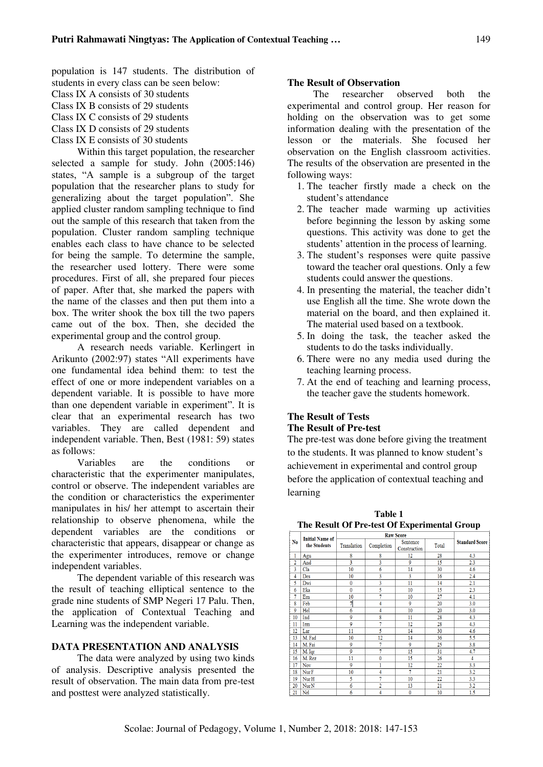population is 147 students. The distribution of students in every class can be seen below:

- Class IX A consists of 30 students
- Class IX B consists of 29 students
- Class IX C consists of 29 students
- Class IX D consists of 29 students
- Class IX E consists of 30 students

Within this target population, the researcher selected a sample for study. John (2005:146) states, "A sample is a subgroup of the target population that the researcher plans to study for generalizing about the target population". She applied cluster random sampling technique to find out the sample of this research that taken from the population. Cluster random sampling technique enables each class to have chance to be selected for being the sample. To determine the sample, the researcher used lottery. There were some procedures. First of all, she prepared four pieces of paper. After that, she marked the papers with the name of the classes and then put them into a box. The writer shook the box till the two papers came out of the box. Then, she decided the experimental group and the control group.

A research needs variable. Kerlingert in Arikunto (2002:97) states "All experiments have one fundamental idea behind them: to test the effect of one or more independent variables on a dependent variable. It is possible to have more than one dependent variable in experiment". It is clear that an experimental research has two variables. They are called dependent and independent variable. Then, Best (1981: 59) states as follows:

Variables are the conditions or characteristic that the experimenter manipulates, control or observe. The independent variables are the condition or characteristics the experimenter manipulates in his/ her attempt to ascertain their relationship to observe phenomena, while the dependent variables are the conditions or characteristic that appears, disappear or change as the experimenter introduces, remove or change independent variables.

The dependent variable of this research was the result of teaching elliptical sentence to the grade nine students of SMP Negeri 17 Palu. Then, the application of Contextual Teaching and Learning was the independent variable.

### **DATA PRESENTATION AND ANALYSIS**

The data were analyzed by using two kinds of analysis. Descriptive analysis presented the result of observation. The main data from pre-test and posttest were analyzed statistically.

## **The Result of Observation**

The researcher observed both the experimental and control group. Her reason for holding on the observation was to get some information dealing with the presentation of the lesson or the materials. She focused her observation on the English classroom activities. The results of the observation are presented in the following ways:

- 1. The teacher firstly made a check on the student's attendance
- 2. The teacher made warming up activities before beginning the lesson by asking some questions. This activity was done to get the students' attention in the process of learning.
- 3. The student's responses were quite passive toward the teacher oral questions. Only a few students could answer the questions.
- 4. In presenting the material, the teacher didn't use English all the time. She wrote down the material on the board, and then explained it. The material used based on a textbook.
- 5. In doing the task, the teacher asked the students to do the tasks individually.
- 6. There were no any media used during the teaching learning process.
- 7. At the end of teaching and learning process, the teacher gave the students homework.

# **The Result of Tests The Result of Pre-test**

The pre-test was done before giving the treatment to the students. It was planned to know student's achievement in experimental and control group before the application of contextual teaching and learning

| N <sub>0</sub> | <b>Initial Name of</b><br>the Students | Translation     | Completion     | <b>Raw Score</b><br>Sentence<br>Construction | Total | <b>Standard Score</b> |
|----------------|----------------------------------------|-----------------|----------------|----------------------------------------------|-------|-----------------------|
| 1              | Agu                                    | 8               | 8              | 12                                           | 28    | 4.3                   |
| $\overline{c}$ | And                                    | 3               | 3              | 9                                            | 15    | 2.3                   |
| 3              | Cla                                    | 10              | 6              | 14                                           | 30    | 4.6                   |
| 4              | Des                                    | 10              | 3              | 3                                            | 16    | 2.4                   |
| 5              | Dwi                                    | $\mathbf{0}$    | 3              | 11                                           | 14    | 2.1                   |
| 6              | Eka                                    | $\mathbf{0}$    | 5              | 10                                           | 15    | 2.3                   |
| 7              | Em                                     | 10              | 7              | 10                                           | 27    | 4.1                   |
| 8              | Feb                                    | 7               | 4              | 9                                            | 20    | 3.0                   |
| 9              | Hel                                    | 6               | 4              | 10                                           | 20    | 3.0                   |
| 10             | Ind                                    | 9               | 8              | 11                                           | 28    | 4.3                   |
| 11             | Irm                                    | 9               | 7              | 12                                           | 28    | 4.3                   |
| 12             | Lar                                    | $\overline{11}$ | 5              | 14                                           | 30    | 4.6                   |
| 13             | M. Fad                                 | 10              | 12             | 14                                           | 36    | 5.5                   |
| 14             | M. Fai                                 | 9               | 7              | 9                                            | 25    | 3.8                   |
| 15             | M. Iqr                                 | 9               | 7              | 15                                           | 31    | 4.7                   |
| 16             | M. Rez                                 | 11              | 0              | 15                                           | 26    | $\overline{4}$        |
| 17             | Nov                                    | 9               | 1              | 12                                           | 22    | 3.3                   |
| 18             | Nur F                                  | 10              | 4              | 7                                            | 21    | 3.2                   |
| 19             | NurH                                   | 5               | 7              | 10                                           | 22    | 3.3                   |
| 20             | Nur N                                  | 6               | $\overline{2}$ | 13                                           | 21    | 3.2                   |
| 21             | Nrl                                    | 6               | 4              | $\bf{0}$                                     | 10    | 1.5                   |
|                |                                        |                 |                |                                              |       |                       |

**Table 1 The Result Of Pre-test Of Experimental Group**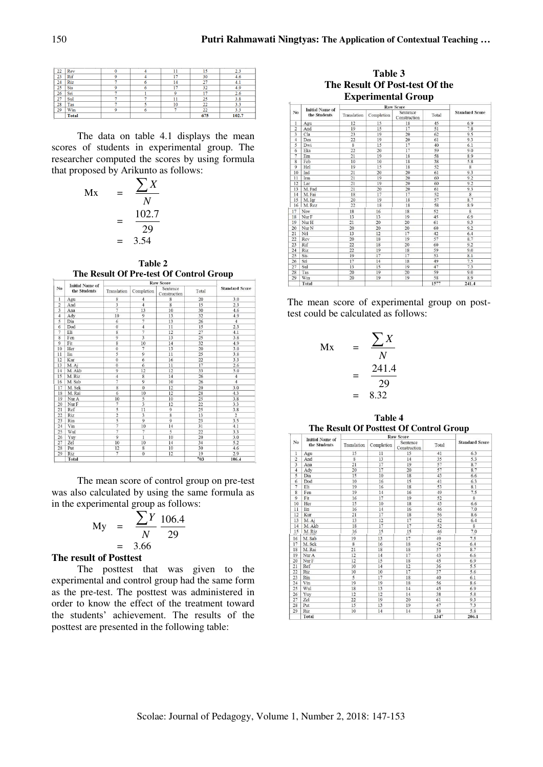| n.<br>Riz<br>ኅረ<br>. .<br>o e<br>S1S<br>$\sim$<br>- 11<br>$\sim$<br>Su.<br>28<br><b>Tas</b><br>29<br>Win<br>3.3 | 102.7 |  |  | Total |  |
|-----------------------------------------------------------------------------------------------------------------|-------|--|--|-------|--|
|                                                                                                                 |       |  |  |       |  |
|                                                                                                                 |       |  |  |       |  |
|                                                                                                                 |       |  |  |       |  |
|                                                                                                                 |       |  |  |       |  |
|                                                                                                                 |       |  |  |       |  |
|                                                                                                                 |       |  |  |       |  |
|                                                                                                                 |       |  |  |       |  |
|                                                                                                                 |       |  |  | 'ev   |  |

The data on table 4.1 displays the mean scores of students in experimental group. The researcher computed the scores by using formula that proposed by Arikunto as follows:

$$
Mx = \frac{\sum X}{N}
$$
  
= 
$$
\frac{102.7}{29}
$$
  
= 3.54

**Table 2 The Result Of Pre-test Of Control Group** 

|                | <b>Initial Name of</b><br>the Students |                         |                         |                          |       |                       |
|----------------|----------------------------------------|-------------------------|-------------------------|--------------------------|-------|-----------------------|
| No.            |                                        | Translation             | Completion              | Sentence<br>Construction | Total | <b>Standard Score</b> |
| 1              | Agu                                    | 8                       | 4                       | 8                        | 20    | 3.0                   |
| $\overline{2}$ | And                                    | $\overline{\mathbf{3}}$ | $\overline{4}$          | $\overline{\mathbf{8}}$  | 15    | 2.3                   |
| 3              | Ana                                    | $\overline{7}$          | 13                      | 10                       | 30    | 4.6                   |
| $\overline{4}$ | Ady                                    | 10                      | $\overline{9}$          | 13                       | 32    | 4.9                   |
| 5              | Dia                                    | 6                       | 7                       | 13                       | 26    | $\overline{4}$        |
| 6              | Dod                                    | $\overline{0}$          | $\overline{4}$          | 11                       | 15    | 2.3                   |
| $\overline{7}$ | Eli                                    | 8                       | 7                       | 12                       | 27    | 4.1                   |
| 8              | Fen                                    | $\overline{9}$          |                         | 13                       | 25    | 3.8                   |
| 9              | Fit                                    | 8                       | 10                      | 14                       | 32    | 4.9                   |
| 10             | Her                                    | $\overline{0}$          | $\overline{7}$          | 13                       | 20    | 3.0                   |
| 11             | Iin                                    | 5                       | 9                       | 11                       | 25    | 3.8                   |
| 12             | Kur                                    | $\theta$                | 6                       | 16                       | 22    | 3.3                   |
| 13             | M. Aj                                  | $\theta$                | 6                       | 11                       | 17    | 2.6                   |
| 14             | M. Akb                                 | 9                       | 12                      | 12                       | 33    | 5.0                   |
| 15             | M. Riz                                 | $\overline{4}$          | $\overline{\mathbf{8}}$ | 14                       | 26    | 4                     |
| 16             | M. Sab                                 | 7                       | 9                       | 10                       | 26    | $\overline{4}$        |
| 17             | M. Sek                                 | $\overline{\mathbf{8}}$ | $\overline{0}$          | 12                       | 20    | 3.0                   |
| 18             | M. Rai                                 | 6                       | 10                      | 12                       | 28    | 4.3                   |
| 19             | Nur A                                  | 10                      | 5                       | 10                       | 25    | 3.8                   |
| 20             | Nur F                                  | $\overline{7}$          |                         | 12                       | 22    | 3.3                   |
| 21             | Ref                                    |                         | 11                      | $\overline{9}$           | 25    | 3.8                   |
| 22             | Riz                                    | $\overline{2}$          | $\overline{\mathbf{3}}$ | $\overline{\mathbf{s}}$  | 13    | $\overline{2}$        |
| 23             | Rin                                    | 5                       | 9                       | 9                        | 23    | 3.5                   |
| 24             | Vin                                    | $\overline{7}$          | 10                      | 14                       | 31    | 4.1                   |
| 25             | Wul                                    | 7                       | 7                       | 5                        | 22    | 3.3                   |
| 26             | Yuy                                    | $\overline{9}$          | $\mathbf{1}$            | 10                       | 20    | 3.0                   |
| 27             | Zel                                    | 10                      | 10                      | 14                       | 34    | 5.2                   |
| 28             | Put                                    | 12                      | $\overline{\mathbf{8}}$ | 10                       | 30    | 4.6                   |
| 29             | Riz                                    | 7                       | $\overline{0}$          | 12                       | 19    | 2.9                   |
|                | Total                                  |                         |                         |                          | 703   | 106.4                 |

The mean score of control group on pre-test was also calculated by using the same formula as in the experimental group as follows:

$$
My = \frac{\sum Y}{N} \frac{106.4}{29} = 3.66
$$

### **The result of Posttest**

The posttest that was given to the experimental and control group had the same form as the pre-test. The posttest was administered in order to know the effect of the treatment toward the students' achievement. The results of the posttest are presented in the following table:

### **Table 3 The Result Of Post-test Of the Experimental Group**

| No             | <b>Initial Name of</b><br>the Students |                         |            |                          |       |                         |
|----------------|----------------------------------------|-------------------------|------------|--------------------------|-------|-------------------------|
|                |                                        | Translation             | Completion | Sentence<br>Construction | Total | <b>Standard Score</b>   |
| 1              | Agu                                    | 12                      | 15         | 18                       | 45    | 6.9                     |
| $\overline{2}$ | And                                    | 19                      | 15         | 17                       | 51    | 7.8                     |
| 3              | Cla                                    | 23                      | 19         | 20                       | 62    | 9.5                     |
| $\overline{4}$ | Des                                    | 22                      | 19         | 20                       | 61    | 9.3                     |
| 5              | Dwi                                    | $\overline{\mathbf{8}}$ | 15         | 17                       | 40    | 6.1                     |
| 6              | Eka                                    | 22                      | 20         | 17                       | 59    | 9.0                     |
| 7              | Em                                     | 21                      | 19         | 18                       | 58    | 8.9                     |
| 8              | Feb                                    | 10                      | 10         | 18                       | 38    | 5.8                     |
| 9              | Hel                                    | 19                      | 15         | 18                       | 52    | $\overline{\mathbf{8}}$ |
| 10             | Ind                                    | 21                      | 20         | 20                       | 61    | 9.3                     |
| 11             | Irm                                    | 21                      | 19         | 20                       | 60    | 9.2                     |
| 12             | Lar                                    | 21                      | 19         | 20                       | 60    | 9.2                     |
| 13             | M. Fad                                 | 21                      | 20         | 20                       | 61    | 9.3                     |
| 14             | M. Fai                                 | 18                      | 17         | 17                       | 52    | $\overline{\mathbf{8}}$ |
| 15             | M. Iqr                                 | 20                      | 19         | 18                       | 57    | 8.7                     |
| 16             | M. Rez                                 | 22                      | 18         | 18                       | 58    | 8.9                     |
| 17             | Nov                                    | 18                      | 16         | 18                       | 52    | 8                       |
| 18             | Nur F                                  | 13                      | 13         | 19                       | 45    | 6.9                     |
| 19             | Nur H                                  | 21                      | 20         | 20                       | 61    | 9.3                     |
| 20             | Nur N                                  | 20                      | 20         | 20                       | 60    | 9.2                     |
| 21             | Nrl                                    | 13                      | 12         | 17                       | 42    | 6.4                     |
| 22             | Rev                                    | 20                      | 18         | 19                       | 57    | 8.7                     |
| 23             | Rif                                    | 22                      | 18         | 20                       | 60    | 9.2                     |
| 24             | Riz                                    | 22                      | 19         | 18                       | 59    | 9.0                     |
| 25             | Sis                                    | 19                      | 17         | 17                       | 53    | 8.1                     |
| 26             | Sri                                    | 17                      | 14         | 18                       | 49    | 7.5                     |
| 27             | Sul                                    | 13                      | 15         | 19                       | 47    | 7.3                     |
| 28             | Tas                                    | 20                      | 19         | 20                       | 59    | 9.0                     |
| 29             | Win                                    | 20                      | 19         | 19                       | 58    | 8.9                     |
|                | Total                                  |                         |            |                          | 1577  | 241.4                   |

The mean score of experimental group on posttest could be calculated as follows:

$$
Mx = \frac{\sum X}{N}
$$
  
= 
$$
\frac{241.4}{29}
$$
  
= 8.32

**Table 4 The Result Of Posttest Of Control Group**

|                | <b>Initial Name of</b><br>the Students |                           |        |                          |       |                         |
|----------------|----------------------------------------|---------------------------|--------|--------------------------|-------|-------------------------|
| No             |                                        | Completion<br>Translation |        | Sentence<br>Construction | Total | <b>Standard Score</b>   |
| 1              | Agu                                    | 15                        | 11     | 15                       | 41    | 6.3                     |
| $\overline{2}$ | And                                    | $\overline{\mathbf{8}}$   | 13     | 14                       | 35    | 5.3                     |
|                | Ana                                    | 21                        | 17     | 19                       | 57    | 8.7                     |
| $\overline{4}$ | Adv                                    | 20                        | 17     | 20                       | 57    | 8.7                     |
| 5              | Dia                                    | 15                        | 10     | 18                       | 43    | 6.6                     |
| 6              | Dod                                    | 10                        | 16     | 15                       | 41    | 6.3                     |
| $\overline{7}$ | Eli                                    | 19                        | 16     | 18                       | 53    | 8.1                     |
| 8              | Fen                                    | 19                        | 14     | 16                       | 49    | 7.5                     |
| 9              | Fit                                    | 16                        | 17     | 19                       | 52    | $\overline{\mathbf{8}}$ |
| 10             | Her                                    | 15                        | 10     | 18                       | 43    | 6.6                     |
| 11             | Iin                                    | 16                        | 14     | 16                       | 46    | 7.0                     |
| 12             | Kur                                    | 21                        | 17     | 18                       | 56    | 8.6                     |
| 13             | M. Ai                                  | 13                        | 12     | 17                       | 42    | 6.4                     |
| 14             | M. Akb                                 | 18                        | 17     | 17                       | 52    | $\overline{8}$          |
| 15             | M.Riz                                  | 16                        | 15<br> | $\frac{15}{15}$          | 46    | 7.0                     |
| 16             | M. Sab                                 | 19                        | 13     | 17                       | 49    | 7.5                     |
| 17             | M. Sek                                 | $\overline{\mathbf{8}}$   | 16     | 18                       | 42    | 6.4                     |
| 18             | M. Rai                                 | 21                        | 18     | 18                       | 57    | 8.7                     |
| 19             | Nur A                                  | 12                        | 14     | 17                       | 43    | 6.6                     |
| 20             | Nur F                                  | 12                        | 15     | 18                       | 45    | 6.9                     |
| 21             | Ref                                    | 10                        | 14     | 12                       | 36    | 5.5                     |
| 22             | Riz                                    | 10                        | 10     | 17                       | 37    | 5.6                     |
| 23             | Rin                                    | 5                         | 17     | 18                       | 40    | 6.1                     |
| 24             | Vin                                    | 19                        | 19     | 18                       | 56    | 8.6                     |
| 25             | Wul                                    | 18                        | 13     | 14                       | 45    | 6.9                     |
| 26             | Yuv                                    | 12                        | 12     | 14                       | 38    | 5.8                     |
| 27             | Zel                                    | 22                        | 19     | 20                       | 61    | 9.3                     |
| 28             | Put                                    | 15                        | 13     | 19                       | 47    | 7.3                     |
| 29             | Riz                                    | 10                        | 14     | 14                       | 38    | 5.8                     |
|                | Total                                  |                           |        |                          | 1347  | 206.1                   |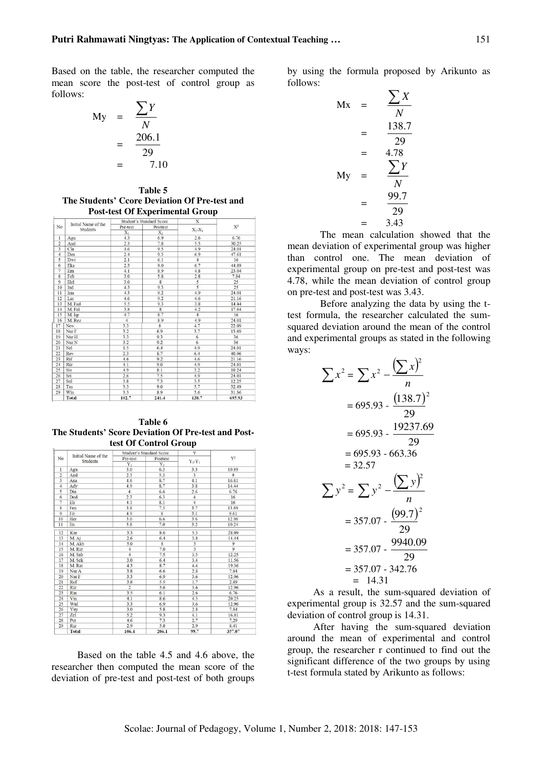Based on the table, the researcher computed the mean score the post-test of control group as follows:

$$
My = \frac{\sum Y}{N}
$$
  
= 
$$
\frac{206.1}{29}
$$
  
= 7.10

| Table 5                                       |
|-----------------------------------------------|
| The Students' Ccore Deviation Of Pre-test and |
| <b>Post-test Of Experimental Group</b>        |

|                | Initial Name of the |                | Student's Standard Score | X              |                |
|----------------|---------------------|----------------|--------------------------|----------------|----------------|
| No             | Students            | Pre-test       | Posttest                 |                | $\mathbf{X}^2$ |
|                |                     | $X_1$          | $X_2$                    | $X_2 - X_1$    |                |
| 1              | Agu                 | 4.3            | 6.9                      | 2.6            | 6.76           |
| $\overline{2}$ | And                 | 2.3            | 7.8                      | 5.5            | 30.25          |
| 3              | Cla                 | 4.6            | 9.5                      | 4.9            | 24.01          |
| $\overline{4}$ | Des                 | 2.4            | 9.3                      | 6.9            | 47.61          |
| 5              | Dwi                 | 2.1            | 6.1                      | $\overline{4}$ | 16             |
| 6              | Eka                 | 2.3            | 9.0                      | 6.7            | 44.89          |
| $\overline{7}$ | Em                  | 4.1            | 8.9                      | 4.8            | 23.04          |
| 8              | Feb                 | 3.0            | 5.8                      | 2.8            | 7.84           |
| 9              | Hel                 | 3.0            | $\overline{8}$           | 5              | 25             |
| 10             | Ind                 | 4.3            | 9.3                      | $\overline{5}$ | 25             |
| 11             | Irm                 | 4.3            | 9.2                      | 4.9            | 24.01          |
| 12             | Lar                 | 4.6            | 9.2                      | 4.6            | 21.16          |
| 13             | M. Fad              | 5.5            | 9.3                      | 3.8            | 14.44          |
| 14             | M. Fai              | 3.8            | 8                        | 4.2            | 17.64          |
| 15             | M. Iqr              | 4.7            | 8.7                      | $\overline{4}$ | 16             |
| 16             | M. Rez              | $\overline{4}$ | 8.9                      | 4.9            | 24.01          |
| 17             | Nov                 | 3.3            | 8                        | 4.7            | 22.09          |
| 18             | Nur F               | 3.2            | 6.9                      | 3.7            | 13.69          |
| 19             | Nur H               | 3.3            | 9.3                      | 6              | 36             |
| 20             | Nur N               | 3.2            | 9.2                      | 6              | 36             |
| 21             | Nrl                 | 1.5            | 6.4                      | 4.9            | 24.01          |
| 22             | Rev                 | 2.3            | 8.7                      | 6.4            | 40.96          |
| 23             | Rif                 | 4.6            | 9.2                      | 4.6            | 21.16          |
| 24             | Riz                 | 4.1            | 9.0                      | 4.9            | 24.01          |
| 25             | Sis                 | 4.9            | 8.1                      | 3.2            | 10.24          |
| 26             | Sri                 | 2.6            | 7.5                      | 4.9            | 24.01          |
| 27             | Sul                 | 3.8            | 7.3                      | 3.5            | 12.25          |
| 28             | Tas                 | 3.3            | 9.0                      | 5.7            | 32.49          |
| 29             | Win                 | 3.3            | 8.9                      | 5.6            | 31.36          |
|                | Total               | 102.7          | 241.4                    | 138.7          | 695.93         |

**Table 6 The Students' Score Deviation Of Pre-test and Posttest Of Control Group** 

|                | Initial Name of the |                | Student's Standard Score | Y                       |                |
|----------------|---------------------|----------------|--------------------------|-------------------------|----------------|
| No             | Students            | Pre-test       | Posttest                 | $Y_2 - Y_1$             | $Y^2$          |
|                |                     | $Y_1$          | $Y_2$                    |                         |                |
| 1              | Agu                 | 3.0            | 6.3                      | 3.3                     | 10.89          |
| $\overline{2}$ | And                 | 2.3            | 5.3                      | $\overline{\mathbf{3}}$ | $\overline{9}$ |
| 3              | Ana                 | 4.6            | 8.7                      | 4.1                     | 16.81          |
| 4              | Adv                 | 4.9            | 8.7                      | 3.8                     | 14.44          |
| 5              | Dia                 | $\overline{4}$ | 6.6                      | 2.6                     | 6.76           |
| 6              | Dod                 | 2.3            | 6.3                      | $\overline{4}$          | 16             |
| 7              | Eli                 | 4.1            | 8.1                      | $\overline{4}$          | 16             |
| 8              | Fen                 | 3.8            | 7.5                      | 3.7                     | 13.69          |
| 9              | Fit                 | 4.9            | $\overline{8}$           | 3.1                     | 9.61           |
| 10             | Her                 | 3.0            | 6.6                      | 3.6                     | 12.96          |
| 11             | Iin                 | 3.8            | 7.0                      | 3.2                     | 10.24          |
| 12             | Kur                 | 3.3            | 8.6                      | 5.3                     | 28.09          |
| 13             | M. Aj               | 2.6            | 6.4                      | 3.8                     | 14.44          |
| 14             | M. Akb              | 5.0            | $\overline{\mathbf{8}}$  | $\overline{\mathbf{3}}$ | 9              |
| 15             | M. Riz              | $\overline{4}$ | 7.0                      |                         | 9              |
| 16             | M. Sab              | $\overline{4}$ | 7.5                      | 3.5                     | 12.25          |
| 17             | M. Sek              | 3.0            | 6.4                      | 3.4                     | 11.56          |
| 18             | M. Rai              | 4.3            | 8.7                      | 4.4                     | 19.36          |
| 19             | Nur A               | 3.8            | 6.6                      | 2.8                     | 7.84           |
| 20             | Nur F               | 3.3            | 6.9                      | 3.6                     | 12.96          |
| 21             | Ref                 | 3.8            | 5.5                      | 1.7                     | 2.89           |
| 22             | Riz                 | $\overline{2}$ | 5.6                      | 3.6                     | 12.96          |
| 23             | Rin                 | 3.5            | 6.1                      | 2.6                     | 6.76           |
| 24             | Vin                 | 4.1            | 8.6                      | 4.5                     | 20.25          |
| 25             | Wul                 | 3.3            | 6.9                      | 3.6                     | 12.96          |
| 26             | Yuy                 | 3.0            | 5.8                      | 2.8                     | 7.84           |
| 27             | Zel                 | 5.2            | 9.3                      | 4.1                     | 16.81          |
| 28             | Put                 | 4.6            | 7.3                      | 2.7                     | 7.29           |
| 29             | Riz                 | 2.9            | 5.8                      | 2.9                     | 8.41           |
|                | Total               | 106.4          | 206.1                    | 99.7                    | 357.07         |

Based on the table 4.5 and 4.6 above, the researcher then computed the mean score of the deviation of pre-test and post-test of both groups by using the formula proposed by Arikunto as follows:

$$
Mx = \frac{\sum X}{N}
$$
  
=  $\frac{138.7}{29}$   
=  $\frac{4.78}{N}$   
=  $\frac{99.7}{29}$   
= 3.43

 The mean calculation showed that the mean deviation of experimental group was higher than control one. The mean deviation of experimental group on pre-test and post-test was 4.78, while the mean deviation of control group on pre-test and post-test was 3.43.

 Before analyzing the data by using the ttest formula, the researcher calculated the sumsquared deviation around the mean of the control and experimental groups as stated in the following ways:

$$
\sum x^2 = \sum x^2 - \frac{(\sum x)^2}{n}
$$
  
= 695.93 -  $\frac{(138.7)^2}{29}$   
= 695.93 -  $\frac{19237.69}{29}$   
= 695.93 - 663.36  
= 32.57  

$$
\sum y^2 = \sum y^2 - \frac{(\sum y)^2}{n}
$$
  
= 357.07 -  $\frac{(99.7)^2}{29}$   
= 357.07 -  $\frac{9940.09}{29}$   
= 357.07 - 342.76  
= 14.31

As a result, the sum-squared deviation of experimental group is 32.57 and the sum-squared deviation of control group is 14.31.

After having the sum-squared deviation around the mean of experimental and control group, the researcher r continued to find out the significant difference of the two groups by using t-test formula stated by Arikunto as follows: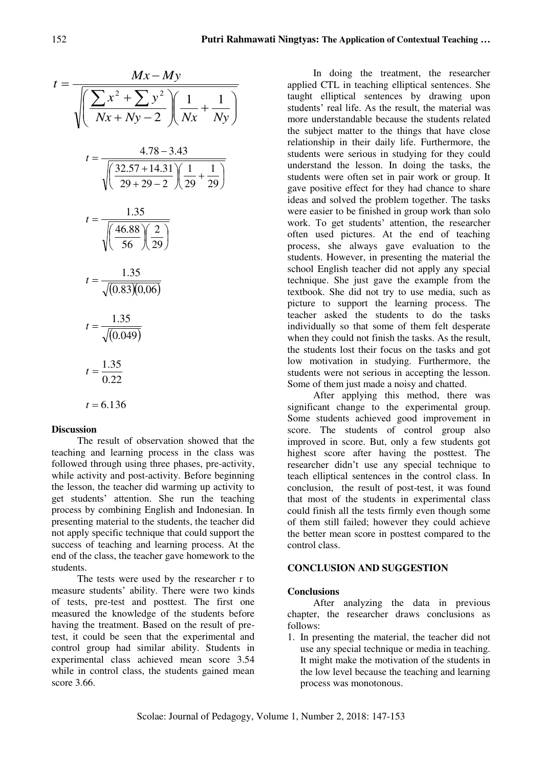| $Mx - My$                                                                                                           |
|---------------------------------------------------------------------------------------------------------------------|
| $\sqrt{\left(\frac{\sum x^2 + \sum y^2}{Nx + Ny - 2}\right)} \left(\frac{1}{Nx} + \frac{1}{Ny}\right)$              |
| $4.78 - 3.43$<br>$\frac{11}{\sqrt{\left(\frac{32.57+14.31}{29+29-2}\right)\left(\frac{1}{29}+\frac{1}{29}\right)}}$ |
| $t = \frac{1}{\sqrt{\left(\frac{46.88}{56}\right)\left(\frac{2}{29}\right)}}$                                       |
| $t = \frac{1.35}{\sqrt{(0.83)(0.06)}}$                                                                              |
| $t = \frac{1.35}{\sqrt{(0.049)}}$                                                                                   |
| $t = \frac{1.35}{0.22}$                                                                                             |
| $t = 6.136$                                                                                                         |

 $\sqrt{2}$  $\frac{1}{2}$  $\int$ 

·

# **Discussion**

The result of observation showed that the teaching and learning process in the class was followed through using three phases, pre-activity, while activity and post-activity. Before beginning the lesson, the teacher did warming up activity to get students' attention. She run the teaching process by combining English and Indonesian. In presenting material to the students, the teacher did not apply specific technique that could support the success of teaching and learning process. At the end of the class, the teacher gave homework to the students.

The tests were used by the researcher r to measure students' ability. There were two kinds of tests, pre-test and posttest. The first one measured the knowledge of the students before having the treatment. Based on the result of pretest, it could be seen that the experimental and control group had similar ability. Students in experimental class achieved mean score 3.54 while in control class, the students gained mean score 3.66.

In doing the treatment, the researcher applied CTL in teaching elliptical sentences. She taught elliptical sentences by drawing upon students' real life. As the result, the material was more understandable because the students related the subject matter to the things that have close relationship in their daily life. Furthermore, the students were serious in studying for they could understand the lesson. In doing the tasks, the students were often set in pair work or group. It gave positive effect for they had chance to share ideas and solved the problem together. The tasks were easier to be finished in group work than solo work. To get students' attention, the researcher often used pictures. At the end of teaching process, she always gave evaluation to the students. However, in presenting the material the school English teacher did not apply any special technique. She just gave the example from the textbook. She did not try to use media, such as picture to support the learning process. The teacher asked the students to do the tasks individually so that some of them felt desperate when they could not finish the tasks. As the result, the students lost their focus on the tasks and got low motivation in studying. Furthermore, the students were not serious in accepting the lesson. Some of them just made a noisy and chatted.

After applying this method, there was significant change to the experimental group. Some students achieved good improvement in score. The students of control group also improved in score. But, only a few students got highest score after having the posttest. The researcher didn't use any special technique to teach elliptical sentences in the control class. In conclusion, the result of post-test, it was found that most of the students in experimental class could finish all the tests firmly even though some of them still failed; however they could achieve the better mean score in posttest compared to the control class.

### **CONCLUSION AND SUGGESTION**

# **Conclusions**

After analyzing the data in previous chapter, the researcher draws conclusions as follows:

1. In presenting the material, the teacher did not use any special technique or media in teaching. It might make the motivation of the students in the low level because the teaching and learning process was monotonous.